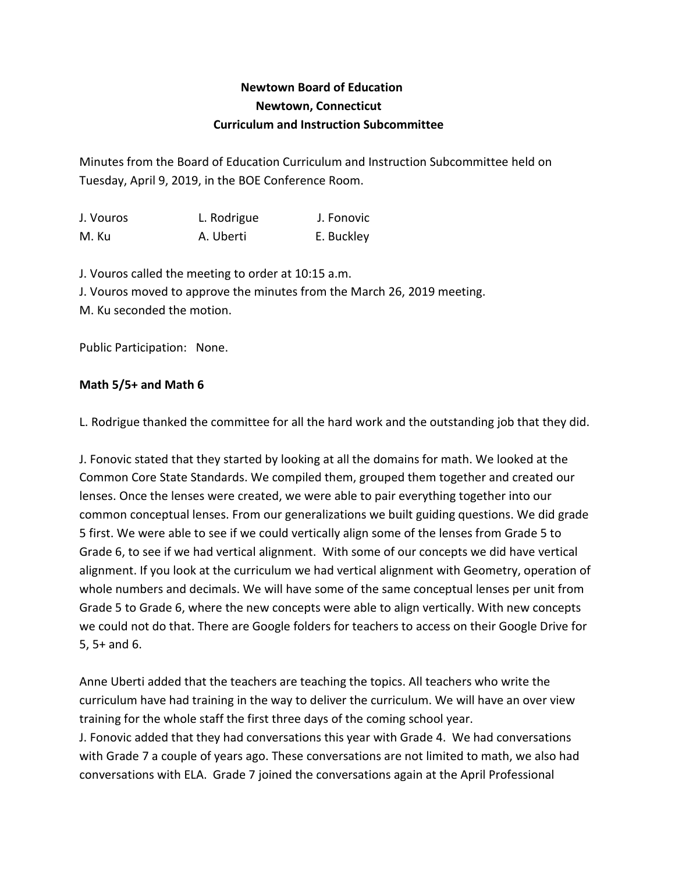## **Newtown Board of Education Newtown, Connecticut Curriculum and Instruction Subcommittee**

Minutes from the Board of Education Curriculum and Instruction Subcommittee held on Tuesday, April 9, 2019, in the BOE Conference Room.

| J. Vouros | L. Rodrigue | J. Fonovic |
|-----------|-------------|------------|
| M. Ku     | A. Uberti   | E. Buckley |

J. Vouros called the meeting to order at 10:15 a.m. J. Vouros moved to approve the minutes from the March 26, 2019 meeting. M. Ku seconded the motion.

Public Participation: None.

## **Math 5/5+ and Math 6**

L. Rodrigue thanked the committee for all the hard work and the outstanding job that they did.

J. Fonovic stated that they started by looking at all the domains for math. We looked at the Common Core State Standards. We compiled them, grouped them together and created our lenses. Once the lenses were created, we were able to pair everything together into our common conceptual lenses. From our generalizations we built guiding questions. We did grade 5 first. We were able to see if we could vertically align some of the lenses from Grade 5 to Grade 6, to see if we had vertical alignment. With some of our concepts we did have vertical alignment. If you look at the curriculum we had vertical alignment with Geometry, operation of whole numbers and decimals. We will have some of the same conceptual lenses per unit from Grade 5 to Grade 6, where the new concepts were able to align vertically. With new concepts we could not do that. There are Google folders for teachers to access on their Google Drive for 5, 5+ and 6.

Anne Uberti added that the teachers are teaching the topics. All teachers who write the curriculum have had training in the way to deliver the curriculum. We will have an over view training for the whole staff the first three days of the coming school year. J. Fonovic added that they had conversations this year with Grade 4. We had conversations with Grade 7 a couple of years ago. These conversations are not limited to math, we also had conversations with ELA. Grade 7 joined the conversations again at the April Professional